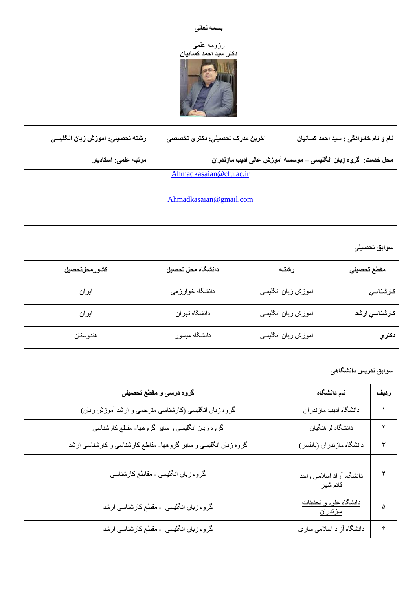## **تسمً تعانی**

#### رزومه علمی



| رشته تحصيلي: آموزش زبان انگليسي | آخرین مدرک تحصیلی: دکتری تخصصی                                | نام و نام خانوادگی : سید احمد کسائیان |  |  |  |  |  |  |
|---------------------------------|---------------------------------------------------------------|---------------------------------------|--|--|--|--|--|--|
| مرتبه علمي: استاديار            | محل خدمت: گروه زبان انگلیسی ــ موسسه آموزش عالی ادیب مازندران |                                       |  |  |  |  |  |  |
| Ahmadkasaian@cfu.ac.ir          |                                                               |                                       |  |  |  |  |  |  |
| Ahmadkasaian@gmail.com          |                                                               |                                       |  |  |  |  |  |  |

### سوا**بق تحصیل***ی*

| كشورمحلتحصيل | دانشگاه محل تحصيل | رشته               | مقطع تحصيلي   |
|--------------|-------------------|--------------------|---------------|
| ايران        | دانشگاه خوارزمي   | أموزش زبان انگليسي | كارشناسي      |
| ايران        | دانشگاه تهران     | أموزش زبان انگليسي | كارشناسي ارشد |
| هندوستان     | دانشگاه میسور     | أموزش زبان انگليسي | دكتري         |

### سوابق تدریس دانشگاه*ی*

| گروه درسی و مقطع تحصیلی                                         | نام دانشگاه                                       | رديف |
|-----------------------------------------------------------------|---------------------------------------------------|------|
| گروه زبان انگلیسی (کارشناسی مترجمی و ارشد أموزش ربان)           | دانشگاه ادیب مازندران                             |      |
| گروه زبان انگلیسی و سایر گروهها- مقطع کارشناسی                  | دانشگاه فر هنگيان                                 |      |
| گروه زبان انگلیسی و سایر گروهها- مقاطع کارشناسی و کارشناسی ارشد | دانشگاه مازندران (بابلسر)                         | ٣    |
| گروه زبان انگلیسی - مقاطع کارشناسی                              | دانشگاه أزاد اسلامی واحد<br>قائم شهر              |      |
| گروه زبان انگلیسی -مقطع کارشناسی ارشد                           | <u>دانشگاه علوم و تحقیقات</u><br><u>مازندر ان</u> |      |
| گروه زبان انگلیسی -مقطع کارشناسی ارشد                           | <u>دانشگاه آزاد</u> اسلامي سا <i>ري</i>           |      |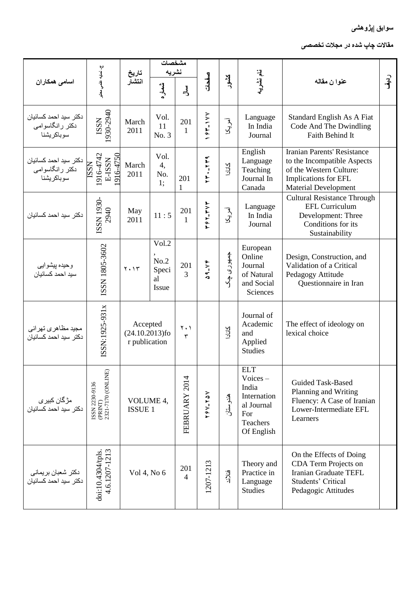# **سُاتق |پژٌَطی**

مقالات چاپ شده در مجلات تخصص*ی* 

|                                                               |                                                                                                             | تاريخ                                          |                                       | مشخصات<br>نشريه                             |                                                                             |            |                                                                                                 |                                                                                                                                              |           |
|---------------------------------------------------------------|-------------------------------------------------------------------------------------------------------------|------------------------------------------------|---------------------------------------|---------------------------------------------|-----------------------------------------------------------------------------|------------|-------------------------------------------------------------------------------------------------|----------------------------------------------------------------------------------------------------------------------------------------------|-----------|
| اسامی همکاران                                                 | ج-نعايه علمي معقبر                                                                                          | انتشار                                         | شعاره                                 | $\frac{1}{2}$                               | صفحات                                                                       | كشور       | نام نشریه                                                                                       | عنوا ن مقاله                                                                                                                                 | ر<br>اېقى |
| دكتر سيد احمد كسائيان<br>دکتر رانگاسوامی<br>سوباكر يشنا       | 1930-2940<br>ISSN                                                                                           | March<br>2011                                  | Vol.<br>11<br>No. 3                   | 201<br>$\mathbf{1}$                         | チドーンンン                                                                      | آمریکا     | Language<br>In India<br>Journal                                                                 | Standard English As A Fiat<br>Code And The Dwindling<br>Faith Behind It                                                                      |           |
| دكتر سيد احمد كسائيان<br>دکتر رانگاسوامی<br>سوباکریشنا        | 916-4742<br>916-4750<br>E-ISSN<br><b>NSSI</b>                                                               | March<br>2011                                  | Vol.<br>4,<br>No.<br>1:               | 201<br>1                                    | $YY - YY9$                                                                  | <b>NFT</b> | English<br>Language<br>Teaching<br>Journal In<br>Canada                                         | Iranian Parents' Resistance<br>to the Incompatible Aspects<br>of the Western Culture:<br>Implications for EFL<br><b>Material Development</b> |           |
| دكتر سيد احمد كسائيان                                         | ISSN 1930-<br>2940                                                                                          | May<br>2011                                    | 11:5                                  | 201<br>$\mathbf{1}$                         | デティードンド                                                                     | آمريکا     | Language<br>In India<br>Journal                                                                 | <b>Cultural Resistance Through</b><br><b>EFL Curriculum</b><br>Development: Three<br>Conditions for its<br>Sustainability                    |           |
| وحيده پيشوايي<br>سيد احمد كسائيان                             | ISSN 1805-3602                                                                                              | $Y \cdot Y$                                    | Vol.2<br>No.2<br>Speci<br>al<br>Issue | 201<br>$\overline{3}$                       | $\begin{array}{c}\n\bullet & -\vee\,\ast \\ \bullet & \bullet\n\end{array}$ | جمهوری چک  | European<br>Online<br>Journal<br>of Natural<br>and Social<br>Sciences                           | Design, Construction, and<br>Validation of a Critical<br>Pedagogy Attitude<br>Questionnaire in Iran                                          |           |
| مجید مظاه <i>ر ی</i> تهر ان <i>ی</i><br>دكتر سيد احمد كسائيان | ISSN:1925-931x                                                                                              | Accepted<br>$(24.10.2013)$ fo<br>r publication |                                       | $\mathbf{Y}$ . $\mathbf{Y}$<br>$\mathbf{r}$ |                                                                             | <b>NFT</b> | Journal of<br>Academic<br>and<br>Applied<br><b>Studies</b>                                      | The effect of ideology on<br>lexical choice                                                                                                  |           |
| مڑگان کبی <i>ر ی</i><br>دکتر  سید احمد کسائیان                | $\begin{array}{c} \text{ISSN 2230-9136} \\ \text{(PRINT)} \\ 2321\text{-}7170 \text{ (ONLINE)} \end{array}$ | VOLUME 4,<br><b>ISSUE 1</b>                    |                                       | FEBRUARY 2014                               | ブタン-ブタン                                                                     | هندوستان   | <b>ELT</b><br>$Voices -$<br>India<br>Internation<br>al Journal<br>For<br>Teachers<br>Of English | <b>Guided Task-Based</b><br>Planning and Writing<br>Fluency: A Case of Iranian<br>Lower-Intermediate EFL<br>Learners                         |           |
| دکتر شعبان بریمانی<br>دکتر سید احمد کسائیان                   | 4.6.1207-1213<br>doi:10.4304/tpls.                                                                          | Vol 4, No 6                                    |                                       | 201<br>$\overline{4}$                       | 207-1213                                                                    | فنلاند     | Theory and<br>Practice in<br>Language<br><b>Studies</b>                                         | On the Effects of Doing<br>CDA Term Projects on<br>Iranian Graduate TEFL<br><b>Students' Critical</b><br>Pedagogic Attitudes                 |           |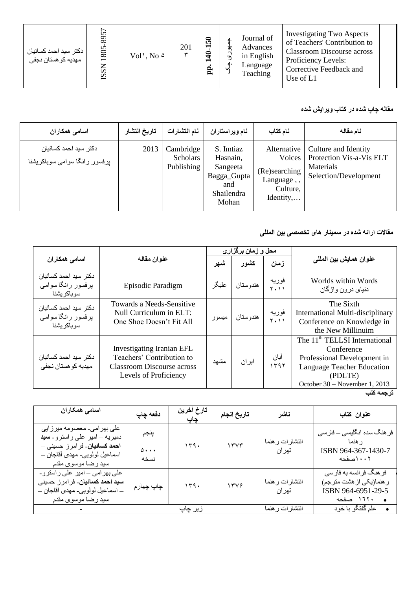| ' دكتر سيد احمد كسائيان<br>ر<br>مهدیه کو هستان نجفی | 8957<br>1805<br><b>ISSN</b> | $Vol$ , No $\delta$ | 201 | ೯<br>È | C۷<br>⊿∗ | Journal of<br>Advances<br>in English<br>Language<br>Teaching | <b>Investigating Two Aspects</b><br>of Teachers' Contribution to<br><b>Classroom Discourse across</b><br>Proficiency Levels:<br>Corrective Feedback and<br>Use of L1 |  |
|-----------------------------------------------------|-----------------------------|---------------------|-----|--------|----------|--------------------------------------------------------------|----------------------------------------------------------------------------------------------------------------------------------------------------------------------|--|
|-----------------------------------------------------|-----------------------------|---------------------|-----|--------|----------|--------------------------------------------------------------|----------------------------------------------------------------------------------------------------------------------------------------------------------------------|--|

#### مقاله چاپ شده در کتاب ویرایش شده

| اسامی همکاران                                           | تاريخ انتشار | نام انتشار ات                              | نام ویراستاران                                                                 | نام كتاب                                                                     | نام مقاله                                                                                       |
|---------------------------------------------------------|--------------|--------------------------------------------|--------------------------------------------------------------------------------|------------------------------------------------------------------------------|-------------------------------------------------------------------------------------------------|
| دكتر سيد احمد كسائيان<br>بر فسور رانگا سوامی سوباکریشنا | 2013         | Cambridge<br><b>Scholars</b><br>Publishing | S. Imtiaz<br>Hasnain,<br>Sangeeta<br>Bagga_Gupta<br>and<br>Shailendra<br>Mohan | Alternative<br>(Re)searching<br>Language,,<br>Culture,<br>$Identity, \ldots$ | Culture and Identity<br>Voices   Protection Vis-a-Vis ELT<br>Materials<br>Selection/Development |

## م<mark>قالات</mark> ارائه شده در سمینار های تخصص*ی* بین الملل*ی*

|                                                             |                                                                                                                             |       | محل و زمان برگزار ی |                      |                                                                                                                                                                  |
|-------------------------------------------------------------|-----------------------------------------------------------------------------------------------------------------------------|-------|---------------------|----------------------|------------------------------------------------------------------------------------------------------------------------------------------------------------------|
|                                                             | عنوان مقاله<br>اسامی همکاران                                                                                                |       | كشور                | زمان                 | عنوان همايش بين الملل <i>ي</i>                                                                                                                                   |
| دكتر سيد احمد كسائيان<br>برفسور رانگا سوامی<br>سو باكر يشنا | Episodic Paradigm                                                                                                           | عليگر | هندوستان            | فوريه<br>$Y \cdot Y$ | Worlds within Words<br>دنیای در ون و اژگان                                                                                                                       |
| دكتر سيد احمد كسائيان<br>پرفسور رانگا سوامی<br>سو باكر يشنا | Towards a Needs-Sensitive<br>Null Curriculum in ELT:<br>One Shoe Doesn't Fit All                                            | ميسور | هندوستان            | فوريه<br>$Y \cdot Y$ | The Sixth<br>International Multi-disciplinary<br>Conference on Knowledge in<br>the New Millinuim                                                                 |
| دكتر سيد احمد كسائيان<br>مهديه کو هستان نجفی                | <b>Investigating Iranian EFL</b><br>Teachers' Contribution to<br><b>Classroom Discourse across</b><br>Levels of Proficiency | مشهد  | ايران               | أبان<br>۱۳۹۲         | The 11 <sup>th</sup> TELLSI International<br>Conference<br>Professional Development in<br>Language Teacher Education<br>(PDLTE)<br>October 30 - November 1, 2013 |

**ترجمً کتة**

| اسامی همکاران                                                                                                                                                         | دفعه چاپ                 | تارخ آخرين<br>چاپ | تاريخ انجام | ناشر                     | عنوان كتاب                                                                                           |
|-----------------------------------------------------------------------------------------------------------------------------------------------------------------------|--------------------------|-------------------|-------------|--------------------------|------------------------------------------------------------------------------------------------------|
| علی بھر امی۔ معصومه میرز ایی<br>دمیریه – امیر  علی راسترو۔ <b>سید</b><br>ا <b>حمد کسائیان</b> ۔ فرامرز حسینی –<br>اسماعيل لولويي- مهدي اقاجان –<br>سيد رضا موسوى مقدم | پنجم<br>$\Delta$<br>نسخه | 159.              | 1555        | انتشارات ر هنما<br>تهران | فر هنگ سده انگلیسی — فار سی<br>ر هنما<br>ISBN 964-367-1430-7<br>۰۰۲ اصفحه                            |
| علی بھرامی – امیر علی راسترو۔<br>س <b>ید احمد کسائیان</b> - فرامرز حسینی<br>ــ اسماعيل لولويي- مهدي اقاجان ــ<br>سيد رضا موسوى مقدم                                   | چاپ چهار م               | 179.              | 1549        | انتشارات ر هنما<br>تهران | فر هنگ فر انسه به فار سی<br>ر هنما(یکی از هشت مترجم)<br>ISBN 964-6951-29-5<br>۱٦٢٠ صفحه<br>$\bullet$ |
|                                                                                                                                                                       |                          | زير چاپ           |             | انتشارات ر هنما          | علم گفتگو با خود<br>$\bullet$                                                                        |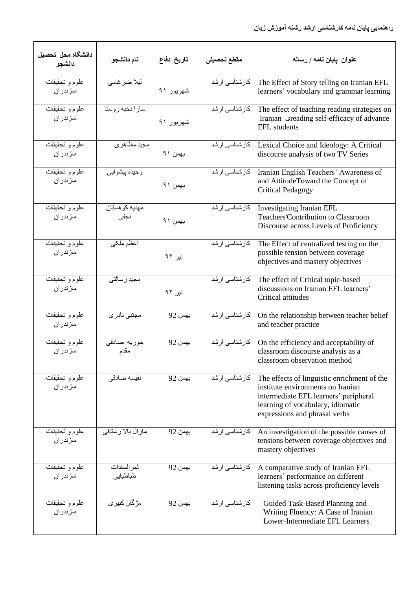| دانشگاه محل تحصيل<br>دانشجو | نام دانشجو                  | تاريخ دفاع | مقطع تحصيلى           | عنوان  يايان نـامـه / رسـالـه                                                                                                                                                                   |
|-----------------------------|-----------------------------|------------|-----------------------|-------------------------------------------------------------------------------------------------------------------------------------------------------------------------------------------------|
| علوم و تَحقيقات<br>مازندران | ليلا ضر غامي                | شهريور ۹۱  | كارشناسي ارشد         | The Effect of Story telling on Iranian EFL<br>learners' vocabulary and grammar learning                                                                                                         |
| علوم و تحقیقات<br>مازندران  | سارا نخبه روستا             | شهريور ۹۱  | كارشناسي ارشد         | The effect of teaching reading strategies on<br>Iranian creading self-efficacy of advance<br><b>EFL</b> students                                                                                |
| علوم و تحقیقات<br>مازندران  | مجيد مظاهري                 | بهمن ۹۱    | كارشناسي ارشد         | Lexical Choice and Ideology: A Critical<br>discourse analysis of two TV Series                                                                                                                  |
| علوم و تحقیقات<br>مازندران  | وحيده بيشوايي               | بهمن ۹۱    | كارشناسي ارشد         | Iranian English Teachers' Awareness of<br>and AttitudeToward the Concept of<br>Critical Pedagogy                                                                                                |
| علوم و تحقیقات<br>مازندران  | مهديه كو هستان<br>نجفى      | بهمن ۹۱    | كارشناسي ارشد         | Investigating Iranian EFL<br>Teachers' Contribution to Classroom<br>Discourse across Levels of Proficiency                                                                                      |
| علوم و تحقیقات<br>مازندران  | اعظم ملكى                   | تیر ۹۲     | كارشناسي ارشد         | The Effect of centralized testing on the<br>possible tension between coverage<br>objectives and mastery objectives                                                                              |
| علوم و تحقیقات<br>مازندران  | مجيد رسالتي                 | تیر ۹۲     | كارشناسي ارشد         | The effect of Critical topic-based<br>discussions on Iranian EFL learners'<br>Critical attitudes                                                                                                |
| علوم و تحقیقات<br>مازندران  | مجتبى نادر ي                | بهمن 92    | كارشناسى ارشد         | On the relationship between teacher belief<br>and teacher practice                                                                                                                              |
| علوم و تحقیقات<br>مازندران  | حوريه صادقي<br>مقدم         | بهمن 92    | كارشناسي ارشد         | On the efficiency and acceptability of<br>classroom discourse analysis as a<br>classroom observation method                                                                                     |
| علوم و تحقیقات<br>مازندران  | نفيسه صادقى                 | بهمن 92    | كارشناسي ارشد         | The effects of linguistic enrichment of the<br>institute environments on Iranian<br>intermediate EFL learners' peripheral<br>learning of vocabulary, idiomatic<br>expressions and phrasal verbs |
| علوم و تحقیقات<br>مازندران  | مارال بالا رستاقي           | بهمن 92    | كارشناس <i>ی</i> ارشد | An investigation of the possible causes of<br>tensions between coverage objectives and<br>mastery objectives                                                                                    |
| علوم و تحقیقات<br>مازندران  | ثمر السادات<br>طباطبايي     | بهمن 92    | كارشناسى ارشد         | A comparative study of Iranian EFL<br>learners' performance on different<br>listening tasks across proficiency levels                                                                           |
| علوم و تحقیقات<br>مازندران  | مڑگا <i>ن</i> کبیر <i>ی</i> | بهمن 92    | كارشناسى ارشد         | Guided Task-Based Planning and<br>Writing Fluency: A Case of Iranian<br>Lower-Intermediate EFL Learners                                                                                         |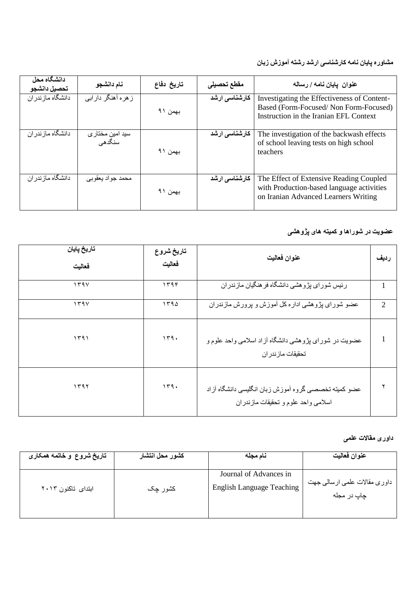#### **مطاَري پایان وامً کارضىاسی ارضس رضتً آمُزش زتان**

| دانشگاه محل<br>تحصيل دانشجو | نام دانشجو                                 | تاريخ دفاع | مقطع تحصيلى   | عنوان  يايان نامه / رساله                                                                                                      |
|-----------------------------|--------------------------------------------|------------|---------------|--------------------------------------------------------------------------------------------------------------------------------|
| دانشگاه مازندر ان           | ز هر ه أهنگر دار اببي                      | بهمن ۹۱    | كارشناسي ارشد | Investigating the Effectiveness of Content-<br>Based (Form-Focused/Non Form-Focused)<br>Instruction in the Iranian EFL Context |
| دانشگاه ماز ندر ان          | سید امین مختا <i>ر ی</i><br>سنگد <i>هی</i> | بهمن ۹۱    | كارشناسي ارشد | The investigation of the backwash effects<br>of school leaving tests on high school<br>teachers                                |
| دانشگاه ماز ندر ان          | محمد جواد يعقوبي                           | بهمن ۹۱    | كارشناسي ارشد | The Effect of Extensive Reading Coupled<br>with Production-based language activities<br>on Iranian Advanced Learners Writing   |

#### عضویت در شوراها و کمیته ها*ی* پژّوه*شی*

| تاريخ پايان<br>فعاليت | تاريخ شروع<br>فعاليت | عنوان فعاليت                                                                                 | رديف           |
|-----------------------|----------------------|----------------------------------------------------------------------------------------------|----------------|
| 1591                  | ۱۳۹۴                 | رئیس شورای پژوهشی دانشگاه فر هنگیان مازندر ان                                                |                |
| 159V                  | 1790                 | عضو شورای پژوهشی اداره کل أموزش و پرورش مازندران                                             | $\mathfrak{D}$ |
| ۱۳۹۱                  | 149.                 | عضویت در شورای پژوهشی دانشگاه آزاد اسلامی واحد علوم و<br>تحقيقات ماز ندر ان                  |                |
| 1191                  | 149.                 | عضو كميته تخصصيي كروه أموزش زبان انكليسي دانشكاه أزاد<br>اسلامي واحد علوم و تحقيقات مازندران |                |

# **زاَری مقاالت عهمی**

| تاریخ شروع و خاتمه همکاری | كشور محل انتشار | نام مجله                                                   | عنوان فعاليت                                |
|---------------------------|-----------------|------------------------------------------------------------|---------------------------------------------|
| ابتدای تاکنون ۲۰۱۳        | کشور چک         | Journal of Advances in<br><b>English Language Teaching</b> | داوري مقالات علمي ارسالي جهت<br>چاپ در مجله |